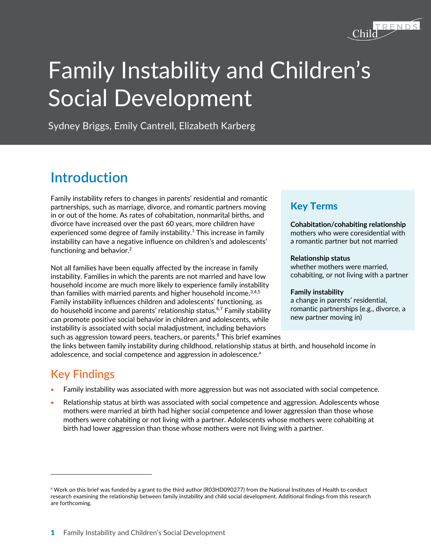

# Family Instability and Children's Social Development

Sydney Briggs, Emily Cantrell, Elizabeth Karberg

## **Introduction**

Family instability refers to changes in parents' residential and romantic partnerships, such as marriage, divorce, and romantic partners moving in or out of the home. As rates of cohabitation, nonmarital births, and divorce have increased over the past 60 years, more children have experienced some degree of family instability.<sup>1</sup> This increase in family instability can have a negative influence on children's and adolescents' functioning and behavior.<sup>2</sup>

Not all families have been equally affected by the increase in family instability. Families in which the parents are not married and have low household income are much more likely to experience family instability than families with married parents and higher household income. $3,4,5$ Family instability influences children and adolescents' functioning, as do household income and parents' relationship status.<sup>6,7</sup> Family stability can promote positive social behavior in children and adolescents, while instability is associated with social maladjustment, including behaviors such as aggression toward peers, teachers, or parents.<sup>8</sup> This brief examines

#### Key Terms

**Cohabitation/cohabiting relationship** mothers who were coresidential with a romantic partner but not married

#### **Relationship status**

whether mothers were married, cohabiting, or not living with a partner

#### **Family instability**

a change in parents' residential, romantic partnerships (e.g., divorce, a new partner moving in)

the links between family instability during childhood, relationship status at birth, and household income in adolescence, and social competence and aggression in adolescence.<sup>a</sup>

## **Key Findings**

- Family instability was associated with more aggression but was not associated with social competence.
- Relationship status at birth was associated with social competence and aggression. Adolescents whose mothers were married at birth had higher social competence and lower aggression than those whose mothers were cohabiting or not living with a partner. Adolescents whose mothers were cohabiting at birth had lower aggression than those whose mothers were not living with a partner.

a Work on this brief was funded by a grant to the third author (R03HD090277) from the National Institutes of Health to conduct research examining the relationship between family instability and child social development. Additional findings from this research are forthcoming.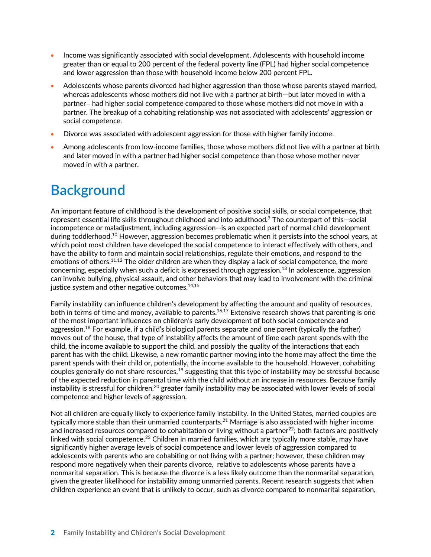- Income was significantly associated with social development. Adolescents with household income greater than or equal to 200 percent of the federal poverty line (FPL) had higher social competence and lower aggression than those with household income below 200 percent FPL.
- Adolescents whose parents divorced had higher aggression than those whose parents stayed married, whereas adolescents whose mothers did not live with a partner at birth—but later moved in with a partner— had higher social competence compared to those whose mothers did not move in with a partner. The breakup of a cohabiting relationship was not associated with adolescents' aggression or social competence.
- Divorce was associated with adolescent aggression for those with higher family income.
- Among adolescents from low-income families, those whose mothers did not live with a partner at birth and later moved in with a partner had higher social competence than those whose mother never moved in with a partner.

# **Background**

An important feature of childhood is the development of positive social skills, or social competence, that represent essential life skills throughout childhood and into adulthood.9 The counterpart of this—social incompetence or maladjustment, including aggression—is an expected part of normal child development during toddlerhood.<sup>10</sup> However, aggression becomes problematic when it persists into the school years, at which point most children have developed the social competence to interact effectively with others, and have the ability to form and maintain social relationships, regulate their emotions, and respond to the emotions of others.<sup>11,12</sup> The older children are when they display a lack of social competence, the more concerning, especially when such a deficit is expressed through aggression.<sup>13</sup> In adolescence, aggression can involve bullying, physical assault, and other behaviors that may lead to involvement with the criminal justice system and other negative outcomes.<sup>14,15</sup>

Family instability can influence children's development by affecting the amount and quality of resources, both in terms of time and money, available to parents.<sup>16,17</sup> Extensive research shows that parenting is one of the most important influences on children's early development of both social competence and aggression. <sup>18</sup> For example, if a child's biological parents separate and one parent (typically the father) moves out of the house, that type of instability affects the amount of time each parent spends with the child, the income available to support the child, and possibly the quality of the interactions that each parent has with the child. Likewise, a new romantic partner moving into the home may affect the time the parent spends with their child or, potentially, the income available to the household. However, cohabiting couples generally do not share resources,19 suggesting that this type of instability may be stressful because of the expected reduction in parental time with the child without an increase in resources. Because family instability is stressful for children,<sup>20</sup> greater family instability may be associated with lower levels of social competence and higher levels of aggression.

Not all children are equally likely to experience family instability. In the United States, married couples are typically more stable than their unmarried counterparts.21 Marriage is also associated with higher income and increased resources compared to cohabitation or living without a partner<sup>22</sup>; both factors are positively linked with social competence.<sup>23</sup> Children in married families, which are typically more stable, may have significantly higher average levels of social competence and lower levels of aggression compared to adolescents with parents who are cohabiting or not living with a partner; however, these children may respond more negatively when their parents divorce, relative to adolescents whose parents have a nonmarital separation. This is because the divorce is a less likely outcome than the nonmarital separation, given the greater likelihood for instability among unmarried parents. Recent research suggests that when children experience an event that is unlikely to occur, such as divorce compared to nonmarital separation,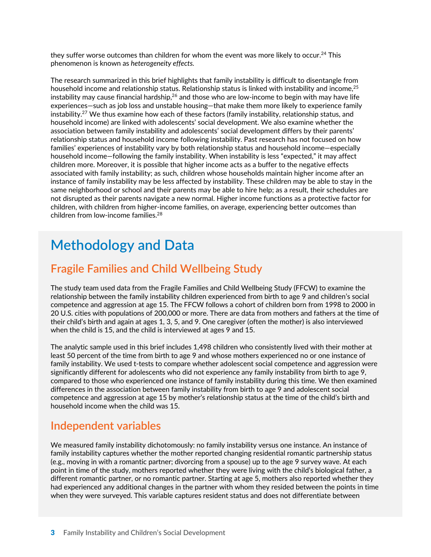they suffer worse outcomes than children for whom the event was more likely to occur.<sup>24</sup> This phenomenon is known as *heterogeneity effects.* 

The research summarized in this brief highlights that family instability is difficult to disentangle from household income and relationship status. Relationship status is linked with instability and income,<sup>25</sup> instability may cause financial hardship, $26$  and those who are low-income to begin with may have life experiences—such as job loss and unstable housing—that make them more likely to experience family instability. <sup>27</sup> We thus examine how each of these factors (family instability, relationship status, and household income) are linked with adolescents' social development. We also examine whether the association between family instability and adolescents' social development differs by their parents' relationship status and household income following instability. Past research has not focused on how families' experiences of instability vary by both relationship status and household income—especially household income—following the family instability. When instability is less "expected," it may affect children more. Moreover, it is possible that higher income acts as a buffer to the negative effects associated with family instability; as such, children whose households maintain higher income after an instance of family instability may be less affected by instability. These children may be able to stay in the same neighborhood or school and their parents may be able to hire help; as a result, their schedules are not disrupted as their parents navigate a new normal. Higher income functions as a protective factor for children, with children from higher-income families, on average, experiencing better outcomes than children from low-income families.28

## **Methodology and Data**

#### **Fragile Families and Child Wellbeing Study**

The study team used data from the Fragile Families and Child Wellbeing Study (FFCW) to examine the relationship between the family instability children experienced from birth to age 9 and children's social competence and aggression at age 15. The FFCW follows a cohort of children born from 1998 to 2000 in 20 U.S. cities with populations of 200,000 or more. There are data from mothers and fathers at the time of their child's birth and again at ages 1, 3, 5, and 9. One caregiver (often the mother) is also interviewed when the child is 15, and the child is interviewed at ages 9 and 15.

The analytic sample used in this brief includes 1,498 children who consistently lived with their mother at least 50 percent of the time from birth to age 9 and whose mothers experienced no or one instance of family instability. We used t-tests to compare whether adolescent social competence and aggression were significantly different for adolescents who did not experience any family instability from birth to age 9, compared to those who experienced one instance of family instability during this time. We then examined differences in the association between family instability from birth to age 9 and adolescent social competence and aggression at age 15 by mother's relationship status at the time of the child's birth and household income when the child was 15.

#### **Independent variables**

We measured family instability dichotomously: no family instability versus one instance. An instance of family instability captures whether the mother reported changing residential romantic partnership status (e.g., moving in with a romantic partner; divorcing from a spouse) up to the age 9 survey wave. At each point in time of the study, mothers reported whether they were living with the child's biological father, a different romantic partner, or no romantic partner. Starting at age 5, mothers also reported whether they had experienced any additional changes in the partner with whom they resided between the points in time when they were surveyed. This variable captures resident status and does not differentiate between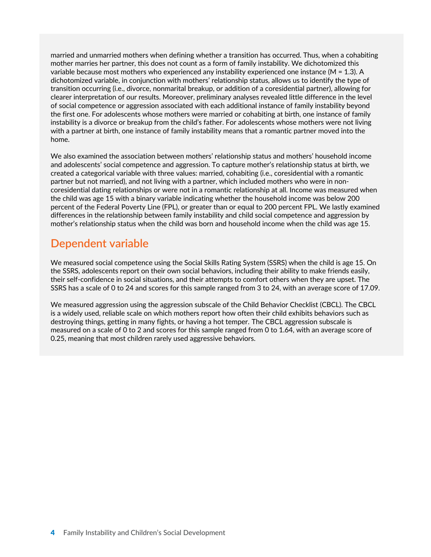married and unmarried mothers when defining whether a transition has occurred. Thus, when a cohabiting mother marries her partner, this does not count as a form of family instability. We dichotomized this variable because most mothers who experienced any instability experienced one instance ( $M = 1.3$ ). A dichotomized variable, in conjunction with mothers' relationship status, allows us to identify the type of transition occurring (i.e., divorce, nonmarital breakup, or addition of a coresidential partner), allowing for clearer interpretation of our results. Moreover, preliminary analyses revealed little difference in the level of social competence or aggression associated with each additional instance of family instability beyond the first one. For adolescents whose mothers were married or cohabiting at birth, one instance of family instability is a divorce or breakup from the child's father. For adolescents whose mothers were not living with a partner at birth, one instance of family instability means that a romantic partner moved into the home.

We also examined the association between mothers' relationship status and mothers' household income and adolescents' social competence and aggression. To capture mother's relationship status at birth, we created a categorical variable with three values: married, cohabiting (i.e., coresidential with a romantic partner but not married), and not living with a partner, which included mothers who were in noncoresidential dating relationships or were not in a romantic relationship at all. Income was measured when the child was age 15 with a binary variable indicating whether the household income was below 200 percent of the Federal Poverty Line (FPL), or greater than or equal to 200 percent FPL. We lastly examined differences in the relationship between family instability and child social competence and aggression by mother's relationship status when the child was born and household income when the child was age 15.

#### **Dependent variable**

We measured social competence using the Social Skills Rating System (SSRS) when the child is age 15. On the SSRS, adolescents report on their own social behaviors, including their ability to make friends easily, their self-confidence in social situations, and their attempts to comfort others when they are upset. The SSRS has a scale of 0 to 24 and scores for this sample ranged from 3 to 24, with an average score of 17.09.

We measured aggression using the aggression subscale of the Child Behavior Checklist (CBCL). The CBCL is a widely used, reliable scale on which mothers report how often their child exhibits behaviors such as destroying things, getting in many fights, or having a hot temper. The CBCL aggression subscale is measured on a scale of 0 to 2 and scores for this sample ranged from 0 to 1.64, with an average score of 0.25, meaning that most children rarely used aggressive behaviors.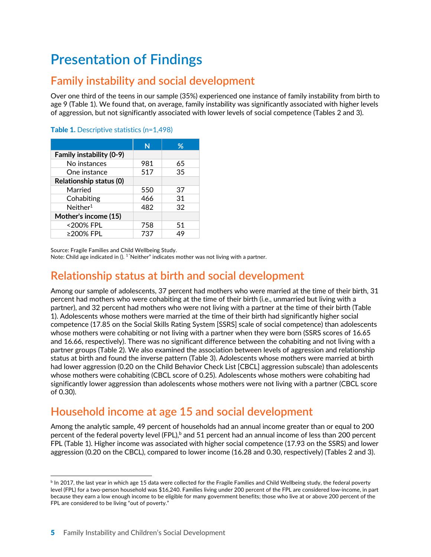# **Presentation of Findings**

## **Family instability and social development**

Over one third of the teens in our sample (35%) experienced one instance of family instability from birth to age 9 (Table 1). We found that, on average, family instability was significantly associated with higher levels of aggression, but not significantly associated with lower levels of social competence (Tables 2 and 3).

|                                | N   | ℅  |
|--------------------------------|-----|----|
| Family instability (0-9)       |     |    |
| No instances                   | 981 | 65 |
| One instance                   | 517 | 35 |
| <b>Relationship status (0)</b> |     |    |
| Married                        | 550 | 37 |
| Cohabiting                     | 466 | 31 |
| Neither <sup>1</sup>           | 482 | 32 |
| Mother's income (15)           |     |    |
| <200% FPL                      | 758 | 51 |
| ≥200% FPL                      | 737 | 49 |

#### Table 1. Descriptive statistics (n=1,498)

Source: Fragile Families and Child Wellbeing Study.

Note: Child age indicated in  $()$ . <sup>1</sup> "Neither" indicates mother was not living with a partner.

#### **Relationship status at birth and social development**

Among our sample of adolescents, 37 percent had mothers who were married at the time of their birth, 31 percent had mothers who were cohabiting at the time of their birth (i.e., unmarried but living with a partner), and 32 percent had mothers who were not living with a partner at the time of their birth (Table 1). Adolescents whose mothers were married at the time of their birth had significantly higher social competence (17.85 on the Social Skills Rating System [SSRS] scale of social competence) than adolescents whose mothers were cohabiting or not living with a partner when they were born (SSRS scores of 16.65 and 16.66, respectively). There was no significant difference between the cohabiting and not living with a partner groups (Table 2). We also examined the association between levels of aggression and relationship status at birth and found the inverse pattern (Table 3). Adolescents whose mothers were married at birth had lower aggression (0.20 on the Child Behavior Check List [CBCL] aggression subscale) than adolescents whose mothers were cohabiting (CBCL score of 0.25). Adolescents whose mothers were cohabiting had significantly lower aggression than adolescents whose mothers were not living with a partner (CBCL score of 0.30).

## **Household income at age 15 and social development**

Among the analytic sample, 49 percent of households had an annual income greater than or equal to 200 percent of the federal poverty level (FPL),<sup>b</sup> and 51 percent had an annual income of less than 200 percent FPL (Table 1). Higher income was associated with higher social competence (17.93 on the SSRS) and lower aggression (0.20 on the CBCL), compared to lower income (16.28 and 0.30, respectively) (Tables 2 and 3).

 $b$  In 2017, the last year in which age 15 data were collected for the Fragile Families and Child Wellbeing study, the federal poverty level (FPL) for a two-person household was \$16,240. Families living under 200 percent of the FPL are considered low-income, in part because they earn a low enough income to be eligible for many government benefits; those who live at or above 200 percent of the FPL are considered to be living "out of poverty."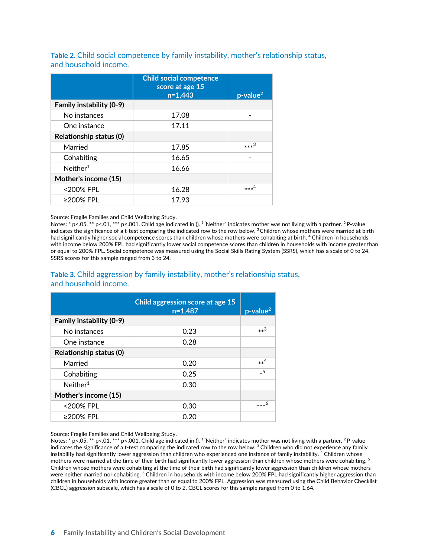**Table 2.** Child social competence by family instability, mother's relationship status, and household income.

|                                | <b>Child social competence</b><br>score at age 15<br>$n=1,443$ | $p$ -value <sup>2</sup> |
|--------------------------------|----------------------------------------------------------------|-------------------------|
| Family instability (0-9)       |                                                                |                         |
| No instances                   | 17.08                                                          |                         |
| One instance                   | 17.11                                                          |                         |
| <b>Relationship status (0)</b> |                                                                |                         |
| Married                        | 17.85                                                          | $***^3$                 |
| Cohabiting                     | 16.65                                                          |                         |
| Neither <sup>1</sup>           | 16.66                                                          |                         |
| Mother's income (15)           |                                                                |                         |
| <200% FPL                      | 16.28                                                          | $***4$                  |
| ≥200% FPL                      | 17.93                                                          |                         |

Source: Fragile Families and Child Wellbeing Study.

Notes: \* p<.05, \*\* p<.01, \*\*\* p<.001. Child age indicated in (). <sup>1</sup> 'Neither" indicates mother was not living with a partner. <sup>2</sup> P-value indicates the significance of a t-test comparing the indicated row to the row below. **<sup>3</sup>**Children whose mothers were married at birth had significantly higher social competence scores than children whose mothers were cohabiting at birth. **<sup>4</sup>** Children in households with income below 200% FPL had significantly lower social competence scores than children in households with income greater than or equal to 200% FPL. Social competence was measured using the Social Skills Rating System (SSRS), which has a scale of 0 to 24. SSRS scores for this sample ranged from 3 to 24.

#### **Table 3.** Child aggression by family instability, mother's relationship status, and household income.

|                                | Child aggression score at age 15<br>$n=1,487$ | $p$ -value <sup>2</sup> |
|--------------------------------|-----------------------------------------------|-------------------------|
| Family instability (0-9)       |                                               |                         |
| No instances                   | 0.23                                          | $**^3$                  |
| One instance                   | 0.28                                          |                         |
| <b>Relationship status (0)</b> |                                               |                         |
| Married                        | 0.20                                          | $**^4$                  |
| Cohabiting                     | 0.25                                          | $*^5$                   |
| Neither <sup>1</sup>           | 0.30                                          |                         |
| Mother's income (15)           |                                               |                         |
| <200% FPL                      | 0.30                                          | $***6$                  |
| ≥200% FPL                      | 0.20                                          |                         |

Source: Fragile Families and Child Wellbeing Study.

Notes: \* p<.05, \*\* p<.01, \*\*\* p<.001. Child age indicated in (). <sup>1</sup> 'Neither" indicates mother was not living with a partner. <sup>2</sup> P-value indicates the significance of a t-test comparing the indicated row to the row below.<sup>3</sup> Children who did not experience any family instability had significantly lower aggression than children who experienced one instance of family instability. <sup>4</sup> Children whose mothers were married at the time of their birth had significantly lower aggression than children whose mothers were cohabiting.<sup>5</sup> Children whose mothers were cohabiting at the time of their birth had significantly lower aggression than children whose mothers were neither married nor cohabiting. <sup>6</sup> Children in households with income below 200% FPL had significantly higher aggression than children in households with income greater than or equal to 200% FPL. Aggression was measured using the Child Behavior Checklist (CBCL) aggression subscale, which has a scale of 0 to 2. CBCL scores for this sample ranged from 0 to 1.64.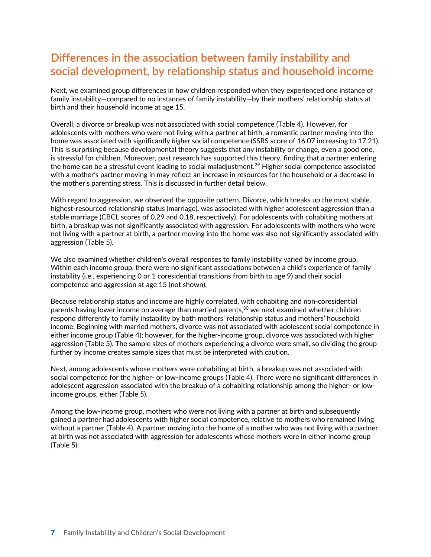## **Differences in the association between family instability and social development, by relationship status and household income**

Next, we examined group differences in how children responded when they experienced one instance of family instability—compared to no instances of family instability—by their mothers' relationship status at birth and their household income at age 15.

Overall, a divorce or breakup was not associated with social competence (Table 4). However, for adolescents with mothers who were not living with a partner at birth, a romantic partner moving into the home was associated with significantly *higher* social competence (SSRS score of 16.07 increasing to 17.21). This is surprising because developmental theory suggests that any instability or change, even a good one, is stressful for children. Moreover, past research has supported this theory, finding that a partner entering the home can be a stressful event leading to social maladjustment.<sup>29</sup> Higher social competence associated with a mother's partner moving in may reflect an increase in resources for the household or a decrease in the mother's parenting stress. This is discussed in further detail below.

With regard to aggression, we observed the opposite pattern. Divorce, which breaks up the most stable, highest-resourced relationship status (marriage), was associated with higher adolescent aggression than a stable marriage (CBCL scores of 0.29 and 0.18, respectively). For adolescents with cohabiting mothers at birth, a breakup was not significantly associated with aggression. For adolescents with mothers who were not living with a partner at birth, a partner moving into the home was also not significantly associated with aggression (Table 5).

We also examined whether children's overall responses to family instability varied by income group. Within each income group, there were no significant associations between a child's experience of family instability (i.e., experiencing 0 or 1 coresidential transitions from birth to age 9) and their social competence and aggression at age 15 (not shown).

Because relationship status and income are highly correlated, with cohabiting and non-coresidential parents having lower income on average than married parents, <sup>30</sup> we next examined whether children respond differently to family instability by both mothers' relationship status and mothers' household income. Beginning with married mothers, divorce was not associated with adolescent social competence in either income group (Table 4); however, for the higher-income group, divorce was associated with higher aggression (Table 5). The sample sizes of mothers experiencing a divorce were small, so dividing the group further by income creates sample sizes that must be interpreted with caution.

Next, among adolescents whose mothers were cohabiting at birth, a breakup was not associated with social competence for the higher- or low-income groups (Table 4). There were no significant differences in adolescent aggression associated with the breakup of a cohabiting relationship among the higher- or lowincome groups, either (Table 5).

Among the low-income group, mothers who were not living with a partner at birth and subsequently gained a partner had adolescents with higher social competence, relative to mothers who remained living without a partner (Table 4). A partner moving into the home of a mother who was not living with a partner at birth was not associated with aggression for adolescents whose mothers were in either income group (Table 5).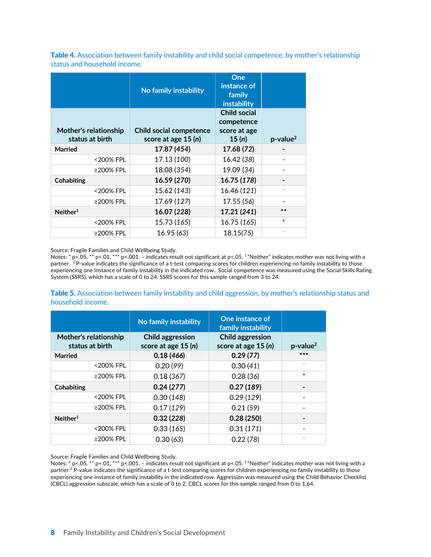Table 4. Association between family instability and child social competence, by mother's relationship status and household income.

|                                          | No family instability                                 | One<br>instance of<br>family<br>instability                |                         |
|------------------------------------------|-------------------------------------------------------|------------------------------------------------------------|-------------------------|
| Mother's relationship<br>status at birth | <b>Child social competence</b><br>score at age 15 (n) | <b>Child social</b><br>competence<br>score at age<br>15(n) | $p$ -value <sup>2</sup> |
| <b>Married</b>                           | 17.87 (454)                                           | 17.68 (72)                                                 |                         |
| <200% FPL                                | 17.13 (100)                                           | 16.42 (38)                                                 |                         |
| ≥200% FPL                                | 18.08 (354)                                           | 19.09 (34)                                                 |                         |
| <b>Cohabiting</b>                        | 16.59 (270)                                           | 16.75 (178)                                                |                         |
| <200% FPL                                | 15.62 (143)                                           | 16.46 (121)                                                |                         |
| ≥200% FPL                                | 17.69 (127)                                           | 17.55 (56)                                                 |                         |
| Neither <sup>1</sup>                     | 16.07 (228)                                           | 17.21 (241)                                                | $**$                    |
| <200% FPL                                | 15.73 (165)                                           | 16.75 (165)                                                | $\ast$                  |
| ≥200% FPL                                | 16.95 (63)                                            | 18.15(75)                                                  |                         |

Source: Fragile Families and Child Wellbeing Study.

Notes: \* p<.05, \*\* p<.01, \*\*\* p<.001. - indicates result not significant at p<.05. <sup>1</sup> "Neither" indicates mother was not living with a partner. <sup>2</sup> P-value indicates the significance of a t-test comparing scores for children experiencing no family instability to those experiencing one instance of family instability in the indicated row.. Social competence was measured using the Social Skills Rating System (SSRS), which has a scale of 0 to 24. SSRS scores for this sample ranged from 3 to 24.

Table 5. Association between family instability and child aggression, by mother's relationship status and household income.

|                                                 | No family instability                           | One instance of<br>family instability          |                         |
|-------------------------------------------------|-------------------------------------------------|------------------------------------------------|-------------------------|
| <b>Mother's relationship</b><br>status at birth | <b>Child aggression</b><br>score at age $15(n)$ | <b>Child aggression</b><br>score at age 15 (n) | $p$ -value <sup>2</sup> |
| Married                                         | 0.18(466)                                       | 0.29(77)                                       | $***$                   |
| <200% FPL                                       | 0.20(99)                                        | 0.30(41)                                       |                         |
| ≥200% FPL                                       | 0.18(367)                                       | 0.28(36)                                       | $\ast$                  |
| Cohabiting                                      | 0.24(277)                                       | 0.27(189)                                      |                         |
| <200% FPL                                       | 0.30(148)                                       | 0.29(129)                                      |                         |
| ≥200% FPL                                       | 0.17(129)                                       | 0.21(59)                                       |                         |
| Neither <sup>1</sup>                            | 0.32(228)                                       | 0.28(250)                                      |                         |
| <200% FPL                                       | 0.33(165)                                       | 0.31(171)                                      |                         |
| ≥200% FPL                                       | 0.30(63)                                        | 0.22(78)                                       |                         |

Source: Fragile Families and Child Wellbeing Study.

Notes: \* p<.05, \*\* p<.01, \*\*\* p<.001. - indicates result not significant at p<.05. <sup>1</sup> "Neither" indicates mother was not living with a partner.<sup>2</sup> P-value indicates the significance of a t-test comparing scores for children experiencing no family instability to those experiencing one instance of family instability in the indicated row. Aggression was measured using the Child Behavior Checklist (CBCL) aggression subscale, which has a scale of 0 to 2. CBCL scores for this sample ranged from 0 to 1.64.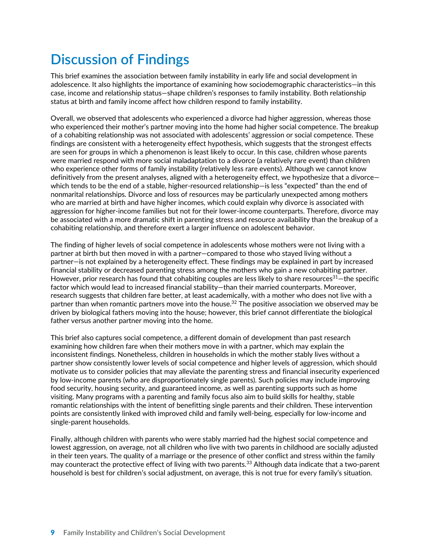# **Discussion of Findings**

This brief examines the association between family instability in early life and social development in adolescence. It also highlights the importance of examining how sociodemographic characteristics—in this case, income and relationship status—shape children's responses to family instability. Both relationship status at birth and family income affect how children respond to family instability.

Overall, we observed that adolescents who experienced a divorce had higher aggression, whereas those who experienced their mother's partner moving into the home had higher social competence. The breakup of a cohabiting relationship was not associated with adolescents' aggression or social competence. These findings are consistent with a heterogeneity effect hypothesis, which suggests that the strongest effects are seen for groups in which a phenomenon is least likely to occur. In this case, children whose parents were married respond with more social maladaptation to a divorce (a relatively rare event) than children who experience other forms of family instability (relatively less rare events). Although we cannot know definitively from the present analyses, aligned with a heterogeneity effect, we hypothesize that a divorce which tends to be the end of a stable, higher-resourced relationship—is less "expected" than the end of nonmarital relationships. Divorce and loss of resources may be particularly unexpected among mothers who are married at birth and have higher incomes, which could explain why divorce is associated with aggression for higher-income families but not for their lower-income counterparts. Therefore, divorce may be associated with a more dramatic shift in parenting stress and resource availability than the breakup of a cohabiting relationship, and therefore exert a larger influence on adolescent behavior.

The finding of higher levels of social competence in adolescents whose mothers were not living with a partner at birth but then moved in with a partner—compared to those who stayed living without a partner—is not explained by a heterogeneity effect. These findings may be explained in part by increased financial stability or decreased parenting stress among the mothers who gain a new cohabiting partner. However, prior research has found that cohabiting couples are less likely to share resources<sup>31</sup>—the specific factor which would lead to increased financial stability—than their married counterparts. Moreover, research suggests that children fare better, at least academically, with a mother who does not live with a partner than when romantic partners move into the house.<sup>32</sup> The positive association we observed may be driven by biological fathers moving into the house; however, this brief cannot differentiate the biological father versus another partner moving into the home.

This brief also captures social competence, a different domain of development than past research examining how children fare when their mothers move in with a partner, which may explain the inconsistent findings. Nonetheless, children in households in which the mother stably lives without a partner show consistently lower levels of social competence and higher levels of aggression, which should motivate us to consider policies that may alleviate the parenting stress and financial insecurity experienced by low-income parents (who are disproportionately single parents). Such policies may include improving food security, housing security, and guaranteed income, as well as parenting supports such as home visiting. Many programs with a parenting and family focus also aim to build skills for healthy, stable romantic relationships with the intent of benefitting single parents and their children. These intervention points are consistently linked with improved child and family well-being, especially for low-income and single-parent households.

Finally, although children with parents who were stably married had the highest social competence and lowest aggression, on average, not all children who live with two parents in childhood are socially adjusted in their teen years. The quality of a marriage or the presence of other conflict and stress within the family may counteract the protective effect of living with two parents.<sup>33</sup> Although data indicate that a two-parent household is best for children's social adjustment, on average, this is not true for every family's situation.